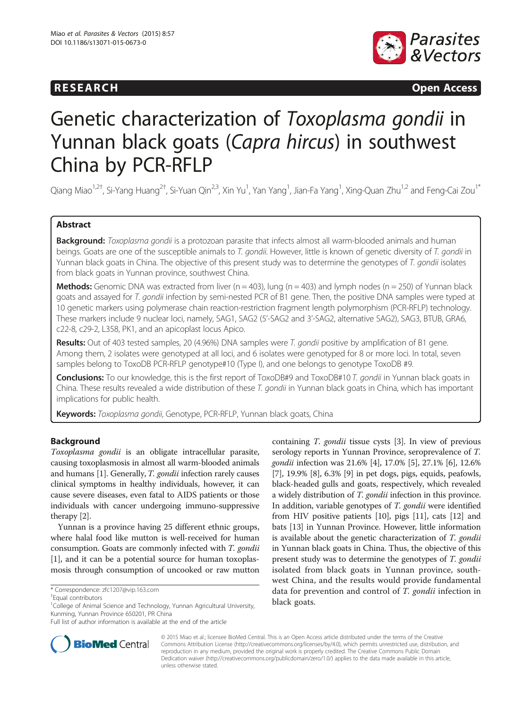# **RESEARCH CHINESEARCH CHINESEARCH CHINESE**



# Genetic characterization of Toxoplasma gondii in Yunnan black goats (Capra hircus) in southwest China by PCR-RFLP

Qiang Miao<sup>1,2†</sup>, Si-Yang Huang<sup>2†</sup>, Si-Yuan Qin<sup>2,3</sup>, Xin Yu<sup>1</sup>, Yan Yang<sup>1</sup>, Jian-Fa Yang<sup>1</sup>, Xing-Quan Zhu<sup>1,2</sup> and Feng-Cai Zou<sup>1\*</sup>

## Abstract

Background: Toxoplasma gondii is a protozoan parasite that infects almost all warm-blooded animals and human beings. Goats are one of the susceptible animals to T. gondii. However, little is known of genetic diversity of T. gondii in Yunnan black goats in China. The objective of this present study was to determine the genotypes of T. gondii isolates from black goats in Yunnan province, southwest China.

Methods: Genomic DNA was extracted from liver ( $n = 403$ ), lung ( $n = 403$ ) and lymph nodes ( $n = 250$ ) of Yunnan black goats and assayed for T. gondii infection by semi-nested PCR of B1 gene. Then, the positive DNA samples were typed at 10 genetic markers using polymerase chain reaction-restriction fragment length polymorphism (PCR-RFLP) technology. These markers include 9 nuclear loci, namely, SAG1, SAG2 (5'-SAG2 and 3'-SAG2, alternative SAG2), SAG3, BTUB, GRA6, c22-8, c29-2, L358, PK1, and an apicoplast locus Apico.

Results: Out of 403 tested samples, 20 (4.96%) DNA samples were T. gondii positive by amplification of B1 gene. Among them, 2 isolates were genotyped at all loci, and 6 isolates were genotyped for 8 or more loci. In total, seven samples belong to ToxoDB PCR-RFLP genotype#10 (Type I), and one belongs to genotype ToxoDB #9.

Conclusions: To our knowledge, this is the first report of ToxoDB#9 and ToxoDB#10 T. gondii in Yunnan black goats in China. These results revealed a wide distribution of these T. gondii in Yunnan black goats in China, which has important implications for public health.

Keywords: Toxoplasma gondii, Genotype, PCR-RFLP, Yunnan black goats, China

## Background

Toxoplasma gondii is an obligate intracellular parasite, causing toxoplasmosis in almost all warm-blooded animals and humans [\[1](#page-3-0)]. Generally, *T. gondii* infection rarely causes clinical symptoms in healthy individuals, however, it can cause severe diseases, even fatal to AIDS patients or those individuals with cancer undergoing immuno-suppressive therapy [\[2\]](#page-3-0).

Yunnan is a province having 25 different ethnic groups, where halal food like mutton is well-received for human consumption. Goats are commonly infected with T. gondii [[1\]](#page-3-0), and it can be a potential source for human toxoplasmosis through consumption of uncooked or raw mutton

<sup>1</sup>College of Animal Science and Technology, Yunnan Agricultural University, Kunming, Yunnan Province 650201, PR China

containing T. gondii tissue cysts [\[3](#page-3-0)]. In view of previous serology reports in Yunnan Province, seroprevalence of T. gondii infection was 21.6% [\[4](#page-3-0)], 17.0% [[5\]](#page-3-0), 27.1% [\[6](#page-3-0)], 12.6% [[7\]](#page-3-0), 19.9% [\[8](#page-3-0)], 6.3% [\[9\]](#page-3-0) in pet dogs, pigs, equids, peafowls, black-headed gulls and goats, respectively, which revealed a widely distribution of T. gondii infection in this province. In addition, variable genotypes of T. gondii were identified from HIV positive patients [\[10\]](#page-3-0), pigs [\[11\]](#page-3-0), cats [[12](#page-3-0)] and bats [\[13\]](#page-3-0) in Yunnan Province. However, little information is available about the genetic characterization of T. gondii in Yunnan black goats in China. Thus, the objective of this present study was to determine the genotypes of T. gondii isolated from black goats in Yunnan province, southwest China, and the results would provide fundamental data for prevention and control of T. gondii infection in black goats.



© 2015 Miao et al.; licensee BioMed Central. This is an Open Access article distributed under the terms of the Creative Commons Attribution License [\(http://creativecommons.org/licenses/by/4.0\)](http://creativecommons.org/licenses/by/4.0), which permits unrestricted use, distribution, and reproduction in any medium, provided the original work is properly credited. The Creative Commons Public Domain Dedication waiver [\(http://creativecommons.org/publicdomain/zero/1.0/](http://creativecommons.org/publicdomain/zero/1.0/)) applies to the data made available in this article, unless otherwise stated.

<sup>\*</sup> Correspondence: [zfc1207@vip.163.com](mailto:zfc1207@vip.163.com) †

Equal contributors

Full list of author information is available at the end of the article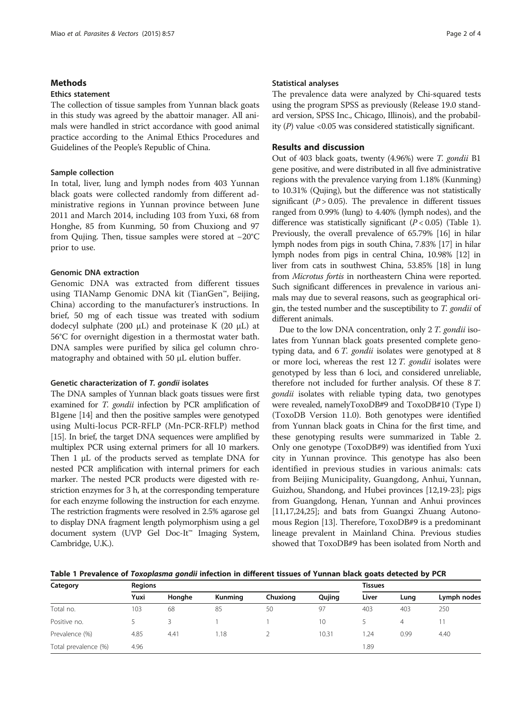#### **Methods**

#### Ethics statement

The collection of tissue samples from Yunnan black goats in this study was agreed by the abattoir manager. All animals were handled in strict accordance with good animal practice according to the Animal Ethics Procedures and Guidelines of the People's Republic of China.

#### Sample collection

In total, liver, lung and lymph nodes from 403 Yunnan black goats were collected randomly from different administrative regions in Yunnan province between June 2011 and March 2014, including 103 from Yuxi, 68 from Honghe, 85 from Kunming, 50 from Chuxiong and 97 from Qujing. Then, tissue samples were stored at −20°C prior to use.

#### Genomic DNA extraction

Genomic DNA was extracted from different tissues using TIANamp Genomic DNA kit (TianGen™, Beijing, China) according to the manufacturer's instructions. In brief, 50 mg of each tissue was treated with sodium dodecyl sulphate (200 μL) and proteinase K (20 μL) at 56°C for overnight digestion in a thermostat water bath. DNA samples were purified by silica gel column chromatography and obtained with 50 μL elution buffer.

#### Genetic characterization of T. gondii isolates

The DNA samples of Yunnan black goats tissues were first examined for *T. gondii* infection by PCR amplification of B1gene [\[14\]](#page-3-0) and then the positive samples were genotyped using Multi-locus PCR-RFLP (Mn-PCR-RFLP) method [[15](#page-3-0)]. In brief, the target DNA sequences were amplified by multiplex PCR using external primers for all 10 markers. Then 1 μL of the products served as template DNA for nested PCR amplification with internal primers for each marker. The nested PCR products were digested with restriction enzymes for 3 h, at the corresponding temperature for each enzyme following the instruction for each enzyme. The restriction fragments were resolved in 2.5% agarose gel to display DNA fragment length polymorphism using a gel document system (UVP Gel Doc-It™ Imaging System, Cambridge, U.K.).

#### Statistical analyses

The prevalence data were analyzed by Chi-squared tests using the program SPSS as previously (Release 19.0 standard version, SPSS Inc., Chicago, Illinois), and the probability  $(P)$  value <0.05 was considered statistically significant.

#### Results and discussion

Out of 403 black goats, twenty (4.96%) were T. gondii B1 gene positive, and were distributed in all five administrative regions with the prevalence varying from 1.18% (Kunming) to 10.31% (Qujing), but the difference was not statistically significant ( $P > 0.05$ ). The prevalence in different tissues ranged from 0.99% (lung) to 4.40% (lymph nodes), and the difference was statistically significant  $(P < 0.05)$  (Table 1). Previously, the overall prevalence of 65.79% [[16](#page-3-0)] in hilar lymph nodes from pigs in south China, 7.83% [\[17\]](#page-3-0) in hilar lymph nodes from pigs in central China, 10.98% [[12](#page-3-0)] in liver from cats in southwest China, 53.85% [[18](#page-3-0)] in lung from Microtus fortis in northeastern China were reported. Such significant differences in prevalence in various animals may due to several reasons, such as geographical origin, the tested number and the susceptibility to T. gondii of different animals.

Due to the low DNA concentration, only 2 T. gondii isolates from Yunnan black goats presented complete genotyping data, and 6 T. gondii isolates were genotyped at 8 or more loci, whereas the rest 12 T. gondii isolates were genotyped by less than 6 loci, and considered unreliable, therefore not included for further analysis. Of these 8 T. gondii isolates with reliable typing data, two genotypes were revealed, namelyToxoDB#9 and ToxoDB#10 (Type I) (ToxoDB Version 11.0). Both genotypes were identified from Yunnan black goats in China for the first time, and these genotyping results were summarized in Table [2](#page-2-0). Only one genotype (ToxoDB#9) was identified from Yuxi city in Yunnan province. This genotype has also been identified in previous studies in various animals: cats from Beijing Municipality, Guangdong, Anhui, Yunnan, Guizhou, Shandong, and Hubei provinces [\[12](#page-3-0),[19](#page-3-0)-[23](#page-3-0)]; pigs from Guangdong, Henan, Yunnan and Anhui provinces [[11,17,24,25](#page-3-0)]; and bats from Guangxi Zhuang Autonomous Region [\[13\]](#page-3-0). Therefore, ToxoDB#9 is a predominant lineage prevalent in Mainland China. Previous studies showed that ToxoDB#9 has been isolated from North and

Table 1 Prevalence of Toxoplasma gondii infection in different tissues of Yunnan black goats detected by PCR

| Category             | <b>Regions</b> |        |         | <b>Tissues</b> |        |       |      |             |
|----------------------|----------------|--------|---------|----------------|--------|-------|------|-------------|
|                      | Yuxi           | Honghe | Kunming | Chuxiong       | Qujing | Liver | Lung | Lymph nodes |
| Total no.            | 103            | 68     | 85      | 50             | 97     | 403   | 403  | 250         |
| Positive no.         |                |        |         |                | 10     |       | 4    |             |
| Prevalence (%)       | 4.85           | 4.41   | 1.18    |                | 10.31  | .24   | 0.99 | 4.40        |
| Total prevalence (%) | 4.96           |        |         |                |        | 89،   |      |             |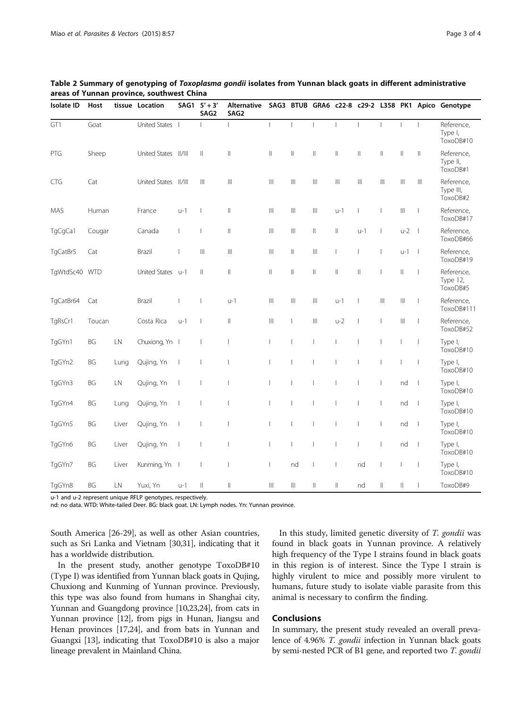| <b>Isolate ID</b> | Host      |       | tissue Location      | SAG1                     | $5' + 3'$<br>SAG2        | Alternative<br>SAG <sub>2</sub>      |                                      |                            |                          |                                       |                          |                          |                                      |                          | SAG3 BTUB GRA6 c22-8 c29-2 L358 PK1 Apico Genotype |
|-------------------|-----------|-------|----------------------|--------------------------|--------------------------|--------------------------------------|--------------------------------------|----------------------------|--------------------------|---------------------------------------|--------------------------|--------------------------|--------------------------------------|--------------------------|----------------------------------------------------|
| GT1               | Goat      |       | United States        |                          |                          | $\mathbf{I}$                         | $\mathbf{I}$                         | $\overline{1}$             | $\mathbf{I}$             | $\overline{\phantom{a}}$              | $\overline{1}$           | $\overline{\phantom{a}}$ | $\overline{1}$                       | $\overline{1}$           | Reference,<br>Type I,<br>ToxoDB#10                 |
| PTG               | Sheep     |       | United States        | /                        | $\vert\vert$             | $\vert\vert$                         | $\parallel$                          | $\vert\vert$               | $\vert\vert$             | $\vert\vert$                          | $\parallel$              | $\parallel$              | $\lvert \rvert$                      | $\vert\vert$             | Reference,<br>Type II,<br>ToxoDB#1                 |
| CTG               | Cat       |       | <b>United States</b> | /                        | $\  \ $                  | $\  \ $                              | $\  \cdot \ $                        | $\  \ $                    | $\  \ $                  | $\begin{array}{c} \hline \end{array}$ | $\  \cdot \ $            | $\left\  {}\right\ $     | $\left\vert \right\vert \right\vert$ | Ш                        | Reference,<br>Type III,<br>ToxoDB#2                |
| MAS               | Human     |       | France               | $u-1$                    |                          | $\vert\vert$                         | $\  \cdot \ $                        | $\  \ $                    | $\  \ $                  | u-1                                   | т                        | I                        | $\  \ $                              | T                        | Reference,<br>ToxoDB#17                            |
| TgCgCa1           | Cougar    |       | Canada               | $\overline{\phantom{a}}$ | $\overline{\phantom{a}}$ | $\parallel$                          | $\  \ $                              | $\  \ $                    | $\  \$                   | $\vert\vert$                          | $u-1$                    |                          | $u-2$                                | $\overline{\phantom{0}}$ | Reference,<br>ToxoDB#66                            |
| TgCatBr5          | Cat       |       | Brazil               |                          | $\parallel \parallel$    | $\left\vert \right\vert \right\vert$ | $\  \ $                              | $\ensuremath{\mathsf{II}}$ | $\left\  {}\right\ $     |                                       | $\mathbf{I}$             | $\overline{\phantom{a}}$ | $u-1$                                | $\overline{\phantom{0}}$ | Reference,<br>ToxoDB#19                            |
| TgWtdSc40 WTD     |           |       | United States u-1    |                          | $\vert\vert$             | $\vert\vert$                         | $\parallel$                          | $\ensuremath{\mathsf{II}}$ | $\vert\vert$             | $\vert\vert$                          | $\parallel$              |                          | $\vert\vert$                         | I                        | Reference,<br>Type 12,<br>ToxoDB#5                 |
| TgCatBr64         | Cat       |       | Brazil               |                          | $\overline{\phantom{a}}$ | $u-1$                                | $\left\vert \right\vert \right\vert$ | $\  \ $                    | $\  \ $                  | $u-1$                                 | $\overline{\phantom{a}}$ | $\left\  {}\right\ $     | $\left\  {}\right\ $                 | I                        | Reference,<br>ToxoDB#111                           |
| TgRsCr1           | Toucan    |       | Costa Rica           | $u-1$                    | $\overline{\phantom{a}}$ | $\vert\vert$                         | $\left\vert \right\vert \right\vert$ | $\overline{1}$             | $\left\  {}\right\ $     | $u-2$                                 | $\overline{1}$           | $\overline{1}$           | $\left\  {}\right\ $                 | $\overline{1}$           | Reference,<br>ToxoDB#52                            |
| TgGYn1            | <b>BG</b> | LN    | Chuxiong, Yn I       |                          | $\mathbf{I}$             | $\mathbf{I}$                         | $\mathbf{I}$                         |                            | $\mathbf{I}$             |                                       | $\mathbf{I}$             | $\overline{1}$           | $\mathsf{L}$                         | $\overline{1}$           | Type I,<br>ToxoDB#10                               |
| TgGYn2            | BG        | Lung  | Qujing, Yn           | $\overline{\phantom{a}}$ |                          | $\mathbf{I}$                         |                                      |                            |                          |                                       | $\mathbf{I}$             | $\overline{\phantom{a}}$ | $\mathbf{I}$                         | $\overline{1}$           | Type I,<br>ToxoDB#10                               |
| TgGYn3            | <b>BG</b> | LN    | Qujing, Yn           | $\overline{\phantom{a}}$ |                          | $\mathbf{I}$                         | 1                                    |                            |                          |                                       | $\mathbf{I}$             | $\mathbf{I}$             | nd                                   | $\overline{\phantom{0}}$ | Type I,<br>ToxoDB#10                               |
| TgGYn4            | BG        | Lung  | Qujing, Yn           | $\overline{\phantom{a}}$ |                          |                                      | т                                    |                            |                          |                                       | $\mathbf{I}$             | $\mathbf{I}$             | nd                                   | - 1                      | Type I,<br>ToxoDB#10                               |
| TgGYn5            | BG        | Liver | Qujing, Yn           | $\overline{\phantom{a}}$ |                          | -1                                   | 1                                    |                            |                          |                                       | $\mathbf{I}$             | $\overline{\phantom{a}}$ | nd                                   | - 1                      | Type I,<br>ToxoDB#10                               |
| TgGYn6            | BG        | Liver | Qujing, Yn           | $\overline{\phantom{a}}$ |                          | $\mathbf{I}$                         | $\overline{\phantom{a}}$             |                            |                          |                                       | $\mathbf{I}$             | $\overline{\phantom{a}}$ | nd                                   | $\overline{\phantom{a}}$ | Type I,<br>ToxoDB#10                               |
| TgGYn7            | BG        | Liver | Kunming, Yn          |                          | $\overline{\phantom{a}}$ | $\overline{\phantom{a}}$             | T                                    | nd                         | $\overline{\phantom{a}}$ | $\overline{\phantom{a}}$              | nd                       | $\overline{\phantom{a}}$ | $\overline{1}$                       | $\overline{\phantom{a}}$ | Type I,<br>ToxoDB#10                               |
| TgGYn8            | <b>BG</b> | LN    | Yuxi, Yn             | $u-1$                    | $\mid \mid$              | $\vert\vert$                         | $\  \cdot \ $                        | $\  \ $                    | $\mathbf{  }$            | $\mid \mid$                           | nd                       | $\mathbb{I}$             | $\mid \mid$                          |                          | ToxoDB#9                                           |

<span id="page-2-0"></span>

| Table 2 Summary of genotyping of <i>Toxoplasma gondii</i> isolates from Yunnan black goats in different administrative |  |  |  |
|------------------------------------------------------------------------------------------------------------------------|--|--|--|
| areas of Yunnan province, southwest China                                                                              |  |  |  |

u-1 and u-2 represent unique RFLP genotypes, respectively.

nd: no data. WTD: White-tailed Deer. BG: black goat. LN: Lymph nodes. Yn: Yunnan province.

South America [[26](#page-3-0)-[29](#page-3-0)], as well as other Asian countries, such as Sri Lanka and Vietnam [\[30,31\]](#page-3-0), indicating that it has a worldwide distribution.

In the present study, another genotype ToxoDB#10 (Type I) was identified from Yunnan black goats in Qujing, Chuxiong and Kunming of Yunnan province. Previously, this type was also found from humans in Shanghai city, Yunnan and Guangdong province [\[10,23,24\]](#page-3-0), from cats in Yunnan province [\[12\]](#page-3-0), from pigs in Hunan, Jiangsu and Henan provinces [\[17,24](#page-3-0)], and from bats in Yunnan and Guangxi [\[13\]](#page-3-0), indicating that ToxoDB#10 is also a major lineage prevalent in Mainland China.

In this study, limited genetic diversity of T. gondii was found in black goats in Yunnan province. A relatively high frequency of the Type I strains found in black goats in this region is of interest. Since the Type I strain is highly virulent to mice and possibly more virulent to humans, future study to isolate viable parasite from this animal is necessary to confirm the finding.

#### Conclusions

In summary, the present study revealed an overall prevalence of 4.96% T. gondii infection in Yunnan black goats by semi-nested PCR of B1 gene, and reported two T. gondii